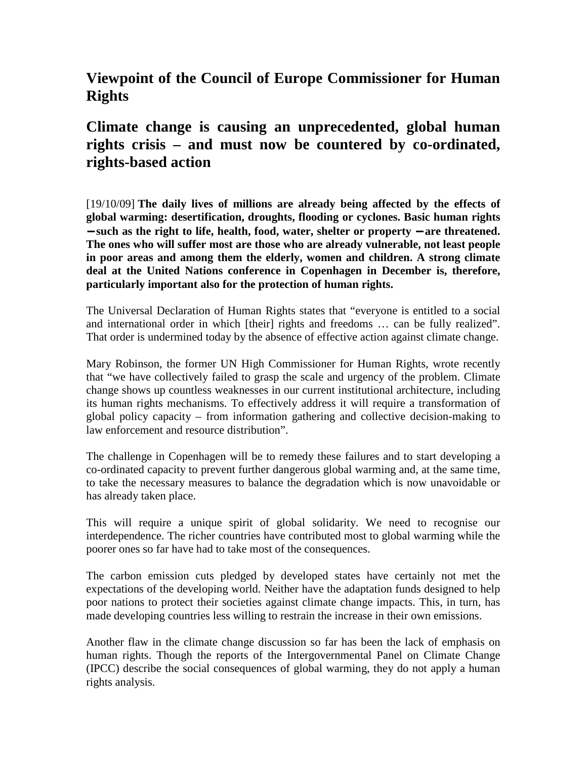## **Viewpoint of the Council of Europe Commissioner for Human Rights**

## **Climate change is causing an unprecedented, global human rights crisis – and must now be countered by co-ordinated, rights-based action**

[19/10/09] **The daily lives of millions are already being affected by the effects of global warming: desertification, droughts, flooding or cyclones. Basic human rights**  − **such as the right to life, health, food, water, shelter or property** − **are threatened. The ones who will suffer most are those who are already vulnerable, not least people in poor areas and among them the elderly, women and children. A strong climate deal at the United Nations conference in Copenhagen in December is, therefore, particularly important also for the protection of human rights.**

The Universal Declaration of Human Rights states that "everyone is entitled to a social and international order in which [their] rights and freedoms … can be fully realized". That order is undermined today by the absence of effective action against climate change.

Mary Robinson, the former UN High Commissioner for Human Rights, wrote recently that "we have collectively failed to grasp the scale and urgency of the problem. Climate change shows up countless weaknesses in our current institutional architecture, including its human rights mechanisms. To effectively address it will require a transformation of global policy capacity – from information gathering and collective decision-making to law enforcement and resource distribution".

The challenge in Copenhagen will be to remedy these failures and to start developing a co-ordinated capacity to prevent further dangerous global warming and, at the same time, to take the necessary measures to balance the degradation which is now unavoidable or has already taken place.

This will require a unique spirit of global solidarity. We need to recognise our interdependence. The richer countries have contributed most to global warming while the poorer ones so far have had to take most of the consequences.

The carbon emission cuts pledged by developed states have certainly not met the expectations of the developing world. Neither have the adaptation funds designed to help poor nations to protect their societies against climate change impacts. This, in turn, has made developing countries less willing to restrain the increase in their own emissions.

Another flaw in the climate change discussion so far has been the lack of emphasis on human rights. Though the reports of the Intergovernmental Panel on Climate Change (IPCC) describe the social consequences of global warming, they do not apply a human rights analysis.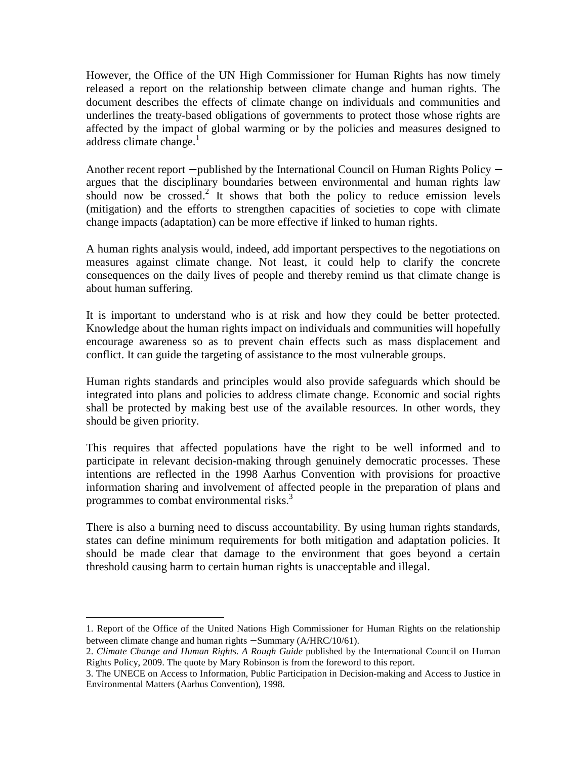However, the Office of the UN High Commissioner for Human Rights has now timely released a report on the relationship between climate change and human rights. The document describes the effects of climate change on individuals and communities and underlines the treaty-based obligations of governments to protect those whose rights are affected by the impact of global warming or by the policies and measures designed to address climate change. $<sup>1</sup>$ </sup>

Another recent report − published by the International Council on Human Rights Policy − argues that the disciplinary boundaries between environmental and human rights law should now be crossed.<sup>2</sup> It shows that both the policy to reduce emission levels (mitigation) and the efforts to strengthen capacities of societies to cope with climate change impacts (adaptation) can be more effective if linked to human rights.

A human rights analysis would, indeed, add important perspectives to the negotiations on measures against climate change. Not least, it could help to clarify the concrete consequences on the daily lives of people and thereby remind us that climate change is about human suffering.

It is important to understand who is at risk and how they could be better protected. Knowledge about the human rights impact on individuals and communities will hopefully encourage awareness so as to prevent chain effects such as mass displacement and conflict. It can guide the targeting of assistance to the most vulnerable groups.

Human rights standards and principles would also provide safeguards which should be integrated into plans and policies to address climate change. Economic and social rights shall be protected by making best use of the available resources. In other words, they should be given priority.

This requires that affected populations have the right to be well informed and to participate in relevant decision-making through genuinely democratic processes. These intentions are reflected in the 1998 Aarhus Convention with provisions for proactive information sharing and involvement of affected people in the preparation of plans and programmes to combat environmental risks.<sup>3</sup>

There is also a burning need to discuss accountability. By using human rights standards, states can define minimum requirements for both mitigation and adaptation policies. It should be made clear that damage to the environment that goes beyond a certain threshold causing harm to certain human rights is unacceptable and illegal.

<u>.</u>

<sup>1.</sup> Report of the Office of the United Nations High Commissioner for Human Rights on the relationship between climate change and human rights − Summary (A/HRC/10/61).

<sup>2.</sup> *Climate Change and Human Rights. A Rough Guide* published by the International Council on Human Rights Policy, 2009. The quote by Mary Robinson is from the foreword to this report.

<sup>3.</sup> The UNECE on Access to Information, Public Participation in Decision-making and Access to Justice in Environmental Matters (Aarhus Convention), 1998.